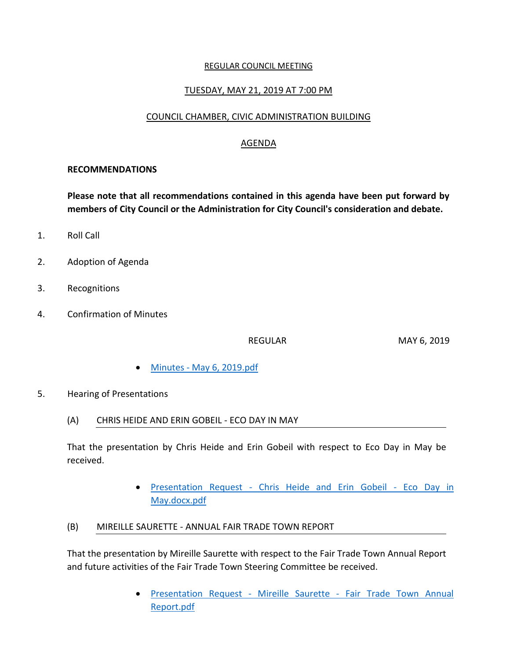#### REGULAR COUNCIL MEETING

### TUESDAY, MAY 21, 2019 AT 7:00 PM

### COUNCIL CHAMBER, CIVIC ADMINISTRATION BUILDING

## AGENDA

#### **RECOMMENDATIONS**

**Please note that all recommendations contained in this agenda have been put forward by members of City Council or the Administration for City Council's consideration and debate.**

- 1. Roll Call
- 2. Adoption of Agenda
- 3. Recognitions
- 4. Confirmation of Minutes

REGULAR MAY 6, 2019

- Minutes [May 6, 2019.pdf](https://paperlesscouncil.brandon.ca/attachments/A_2019/COM_SLXIULAJFDZENCXGWRJKDAWVAKNUQZMQBRZIFWZKZGLPRMUSQBU_Minutes%20-%20May%206,%202019.pdf)
- 5. Hearing of Presentations
	- (A) CHRIS HEIDE AND ERIN GOBEIL ECO DAY IN MAY

That the presentation by Chris Heide and Erin Gobeil with respect to Eco Day in May be received.

- Presentation Request [Chris Heide and Erin Gobeil -](https://paperlesscouncil.brandon.ca/attachments/A_2019/HOP_RLUPIRSWMCOEXPBWEJHGLIBXCRFTEPRWGMVCAUVWGACWTTVUJRJ_Presentation%20Request%20-%20Chris%20Heide%20and%20Erin%20Gobeil%20-%20Eco%20Day%20in%20May.docx.pdf) Eco Day in [May.docx.pdf](https://paperlesscouncil.brandon.ca/attachments/A_2019/HOP_RLUPIRSWMCOEXPBWEJHGLIBXCRFTEPRWGMVCAUVWGACWTTVUJRJ_Presentation%20Request%20-%20Chris%20Heide%20and%20Erin%20Gobeil%20-%20Eco%20Day%20in%20May.docx.pdf)
- (B) MIREILLE SAURETTE ANNUAL FAIR TRADE TOWN REPORT

That the presentation by Mireille Saurette with respect to the Fair Trade Town Annual Report and future activities of the Fair Trade Town Steering Committee be received.

> Presentation Request - Mireille Saurette - [Fair Trade Town Annual](https://paperlesscouncil.brandon.ca/attachments/A_2019/HOP_YPRDZKKFUDMXVFRUOBFRPQZJAUJUDKPIGOGAIMLVXACVVMDMMGK_Presentation%20Request%20-%20Mireille%20Saurette%20-%20Fair%20Trade%20Town%20Annual%20Report.pdf)  [Report.pdf](https://paperlesscouncil.brandon.ca/attachments/A_2019/HOP_YPRDZKKFUDMXVFRUOBFRPQZJAUJUDKPIGOGAIMLVXACVVMDMMGK_Presentation%20Request%20-%20Mireille%20Saurette%20-%20Fair%20Trade%20Town%20Annual%20Report.pdf)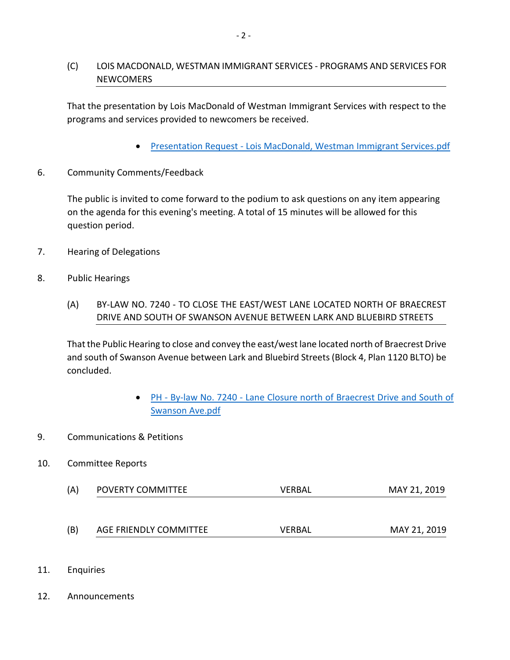# (C) LOIS MACDONALD, WESTMAN IMMIGRANT SERVICES - PROGRAMS AND SERVICES FOR **NEWCOMERS**

That the presentation by Lois MacDonald of Westman Immigrant Services with respect to the programs and services provided to newcomers be received.

- Presentation Request [Lois MacDonald, Westman Immigrant Services.pdf](https://paperlesscouncil.brandon.ca/attachments/A_2019/HOP_WKNJDSZSHDBQKUVXGDLPZQWFUTJAJZBXVRNKLYSWKPQPWTVHWZH_Presentation%20Request%20-%20Lois%20MacDonald,%20Westman%20Immigrant%20Services.pdf)
- 6. Community Comments/Feedback

The public is invited to come forward to the podium to ask questions on any item appearing on the agenda for this evening's meeting. A total of 15 minutes will be allowed for this question period.

- 7. Hearing of Delegations
- 8. Public Hearings
	- (A) BY-LAW NO. 7240 TO CLOSE THE EAST/WEST LANE LOCATED NORTH OF BRAECREST DRIVE AND SOUTH OF SWANSON AVENUE BETWEEN LARK AND BLUEBIRD STREETS

That the Public Hearing to close and convey the east/west lane located north of Braecrest Drive and south of Swanson Avenue between Lark and Bluebird Streets (Block 4, Plan 1120 BLTO) be concluded.

- PH By-law No. 7240 [Lane Closure north of Braecrest Drive and South of](https://paperlesscouncil.brandon.ca/attachments/A_2019/PUB_QDKOPPKFZBYLNJPRNGSUQDGQMORZYPRILPSSGNETWSHEZRBMIEJ_PH%20-%20By-law%20No.%207240%20-%20Lane%20Closure%20north%20of%20Braecrest%20Drive%20and%20South%20of%20Swanson%20Ave.pdf)  [Swanson Ave.pdf](https://paperlesscouncil.brandon.ca/attachments/A_2019/PUB_QDKOPPKFZBYLNJPRNGSUQDGQMORZYPRILPSSGNETWSHEZRBMIEJ_PH%20-%20By-law%20No.%207240%20-%20Lane%20Closure%20north%20of%20Braecrest%20Drive%20and%20South%20of%20Swanson%20Ave.pdf)
- 9. Communications & Petitions

## 10. Committee Reports

- (A) POVERTY COMMITTEE VERBAL VERBAL MAY 21, 2019
- (B) AGE FRIENDLY COMMITTEE VERBAL MAY 21, 2019
- 11. Enquiries
- 12. Announcements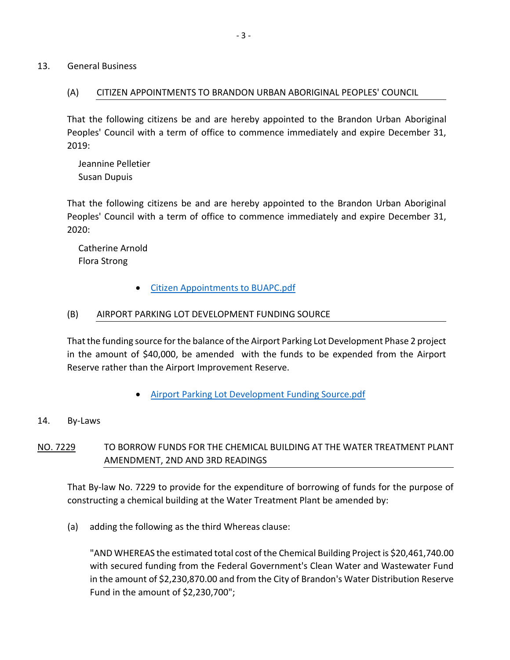13. General Business

### (A) CITIZEN APPOINTMENTS TO BRANDON URBAN ABORIGINAL PEOPLES' COUNCIL

That the following citizens be and are hereby appointed to the Brandon Urban Aboriginal Peoples' Council with a term of office to commence immediately and expire December 31, 2019:

 Jeannine Pelletier Susan Dupuis

That the following citizens be and are hereby appointed to the Brandon Urban Aboriginal Peoples' Council with a term of office to commence immediately and expire December 31, 2020:

 Catherine Arnold Flora Strong

[Citizen Appointments to BUAPC.pdf](https://paperlesscouncil.brandon.ca/attachments/A_2019/GEN_ZISXIMHDFHXVBHRAJKSUJMLSSQIYPUKNEEIGRDEDEHRMENAJQSX_Citizen%20Appointments%20to%20BUAPC.pdf)

### (B) AIRPORT PARKING LOT DEVELOPMENT FUNDING SOURCE

That the funding source for the balance of the Airport Parking Lot Development Phase 2 project in the amount of \$40,000, be amended with the funds to be expended from the Airport Reserve rather than the Airport Improvement Reserve.

[Airport Parking Lot Development Funding Source.pdf](https://paperlesscouncil.brandon.ca/attachments/A_2019/GEN_TYNERCCITICWDNZHVAGDOYMVCFPDAILDIWNCUZJVTZDSVMSLZGM_Airport%20Parking%20Lot%20Development%20Funding%20Source.pdf)

### 14. By-Laws

# NO. 7229 TO BORROW FUNDS FOR THE CHEMICAL BUILDING AT THE WATER TREATMENT PLANT AMENDMENT, 2ND AND 3RD READINGS

That By-law No. 7229 to provide for the expenditure of borrowing of funds for the purpose of constructing a chemical building at the Water Treatment Plant be amended by:

(a) adding the following as the third Whereas clause:

"AND WHEREAS the estimated total cost of the Chemical Building Project is \$20,461,740.00 with secured funding from the Federal Government's Clean Water and Wastewater Fund in the amount of \$2,230,870.00 and from the City of Brandon's Water Distribution Reserve Fund in the amount of \$2,230,700";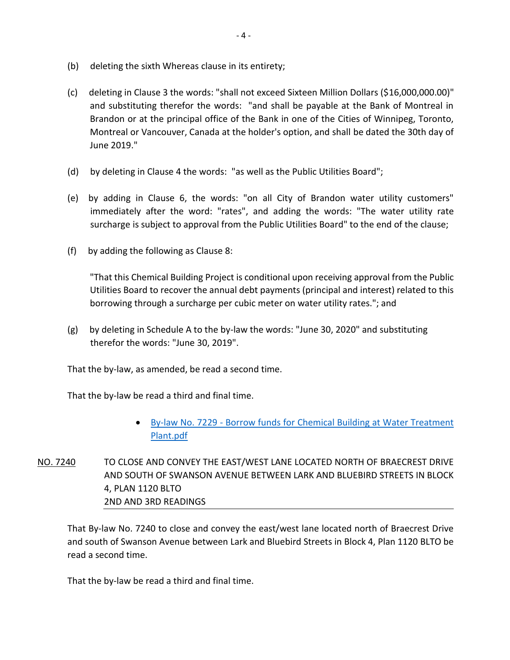- (b) deleting the sixth Whereas clause in its entirety;
- (c) deleting in Clause 3 the words: "shall not exceed Sixteen Million Dollars (\$16,000,000.00)" and substituting therefor the words: "and shall be payable at the Bank of Montreal in Brandon or at the principal office of the Bank in one of the Cities of Winnipeg, Toronto, Montreal or Vancouver, Canada at the holder's option, and shall be dated the 30th day of June 2019."
- (d) by deleting in Clause 4 the words: "as well as the Public Utilities Board";
- (e) by adding in Clause 6, the words: "on all City of Brandon water utility customers" immediately after the word: "rates", and adding the words: "The water utility rate surcharge is subject to approval from the Public Utilities Board" to the end of the clause;
- (f) by adding the following as Clause 8:

"That this Chemical Building Project is conditional upon receiving approval from the Public Utilities Board to recover the annual debt payments (principal and interest) related to this borrowing through a surcharge per cubic meter on water utility rates."; and

(g) by deleting in Schedule A to the by-law the words: "June 30, 2020" and substituting therefor the words: "June 30, 2019".

That the by-law, as amended, be read a second time.

That the by-law be read a third and final time.

- By-law No. 7229 [Borrow funds for Chemical Building at Water Treatment](https://paperlesscouncil.brandon.ca/attachments/A_2019/BYL_ZMTZXMIOKOGNGZNKGFELABWHSPTNFJNZQWSDUNMQPYCICINVMCL_By-law%20No.%207229%20-%20Borrow%20funds%20for%20Chemical%20Building%20at%20Water%20Treatment%20Plant.pdf)  [Plant.pdf](https://paperlesscouncil.brandon.ca/attachments/A_2019/BYL_ZMTZXMIOKOGNGZNKGFELABWHSPTNFJNZQWSDUNMQPYCICINVMCL_By-law%20No.%207229%20-%20Borrow%20funds%20for%20Chemical%20Building%20at%20Water%20Treatment%20Plant.pdf)
- NO. 7240 TO CLOSE AND CONVEY THE EAST/WEST LANE LOCATED NORTH OF BRAECREST DRIVE AND SOUTH OF SWANSON AVENUE BETWEEN LARK AND BLUEBIRD STREETS IN BLOCK 4, PLAN 1120 BLTO 2ND AND 3RD READINGS

That By-law No. 7240 to close and convey the east/west lane located north of Braecrest Drive and south of Swanson Avenue between Lark and Bluebird Streets in Block 4, Plan 1120 BLTO be read a second time.

That the by-law be read a third and final time.